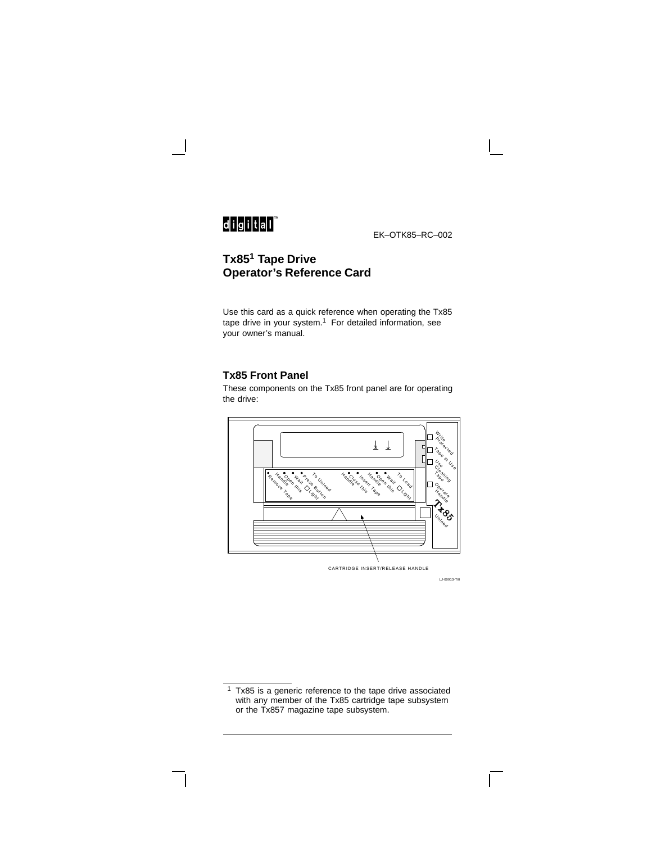# 

EK–OTK85–RC–002

## **Tx85<sup>1</sup> Tape Drive Operator's Reference Card**

Use this card as a quick reference when operating the Tx85 tape drive in your system. $1$  For detailed information, see your owner's manual.

#### **Tx85 Front Panel**

These components on the Tx85 front panel are for operating the drive:



LJ-00913-TI0

 $1$  Tx85 is a generic reference to the tape drive associated with any member of the Tx85 cartridge tape subsystem or the Tx857 magazine tape subsystem.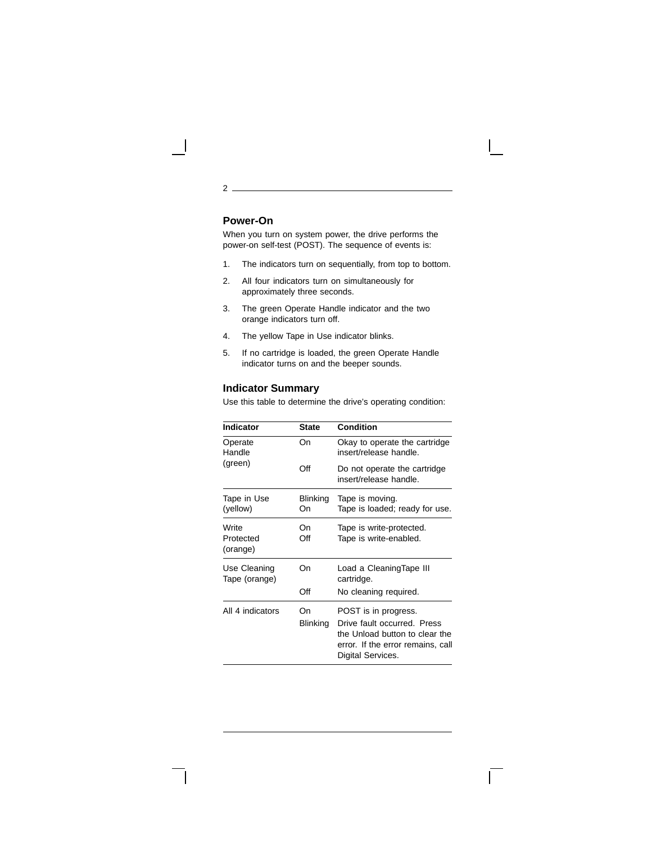# **Power-On**

2

When you turn on system power, the drive performs the power-on self-test (POST). The sequence of events is:

- 1. The indicators turn on sequentially, from top to bottom.
- 2. All four indicators turn on simultaneously for approximately three seconds.
- 3. The green Operate Handle indicator and the two orange indicators turn off.
- 4. The yellow Tape in Use indicator blinks.
- 5. If no cartridge is loaded, the green Operate Handle indicator turns on and the beeper sounds.

#### **Indicator Summary**

Use this table to determine the drive's operating condition:

| Indicator                      | <b>State</b>   | Condition                                                                                                                                       |
|--------------------------------|----------------|-------------------------------------------------------------------------------------------------------------------------------------------------|
| Operate<br>Handle<br>(green)   | On             | Okay to operate the cartridge<br>insert/release handle.                                                                                         |
|                                | Off            | Do not operate the cartridge<br>insert/release handle.                                                                                          |
| Tape in Use<br>(yellow)        | Blinking<br>On | Tape is moving.<br>Tape is loaded; ready for use.                                                                                               |
| Write<br>Protected<br>(orange) | Οn<br>Off      | Tape is write-protected.<br>Tape is write-enabled.                                                                                              |
| Use Cleaning<br>Tape (orange)  | On             | Load a CleaningTape III<br>cartridge.                                                                                                           |
|                                | Off            | No cleaning required.                                                                                                                           |
| All 4 indicators               | On<br>Blinking | POST is in progress.<br>Drive fault occurred. Press<br>the Unload button to clear the<br>error. If the error remains, call<br>Digital Services. |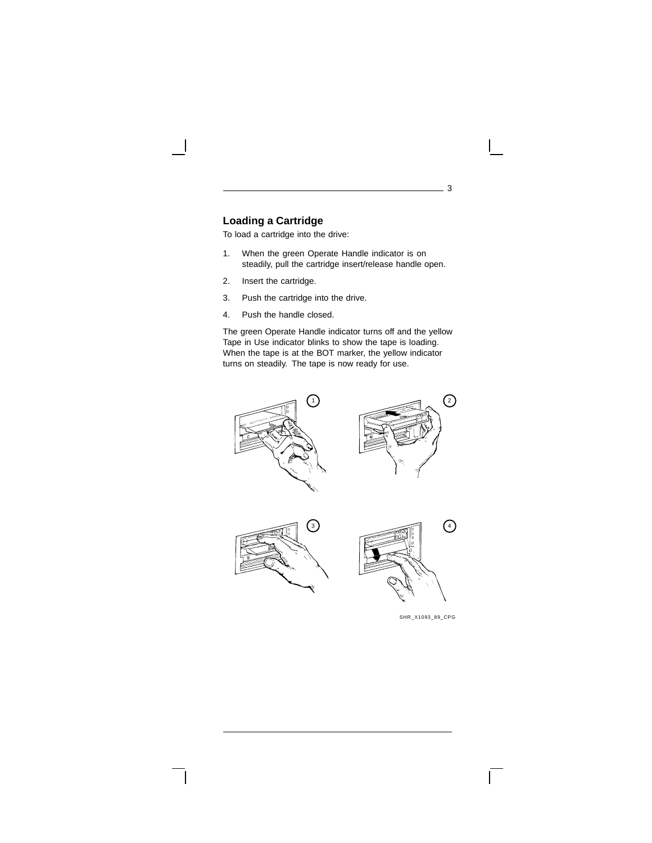## **Loading a Cartridge**

To load a cartridge into the drive:

- 1. When the green Operate Handle indicator is on steadily, pull the cartridge insert/release handle open.
- 2. Insert the cartridge.
- 3. Push the cartridge into the drive.
- 4. Push the handle closed.

The green Operate Handle indicator turns off and the yellow Tape in Use indicator blinks to show the tape is loading. When the tape is at the BOT marker, the yellow indicator turns on steadily. The tape is now ready for use.







SHR\_X1093\_89\_CPG

 $\mathbf{L}$ 

3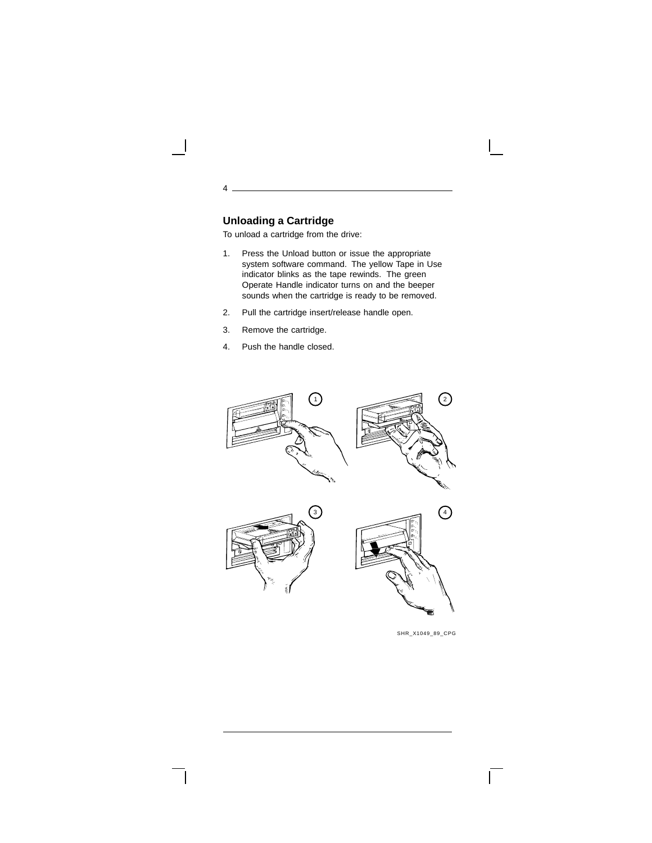## **Unloading a Cartridge**

4

To unload a cartridge from the drive:

- 1. Press the Unload button or issue the appropriate system software command. The yellow Tape in Use indicator blinks as the tape rewinds. The green Operate Handle indicator turns on and the beeper sounds when the cartridge is ready to be removed.
- 2. Pull the cartridge insert/release handle open.
- 3. Remove the cartridge.
- 4. Push the handle closed.



SHR\_X1049\_89\_CPG

 $\mathbf{L}$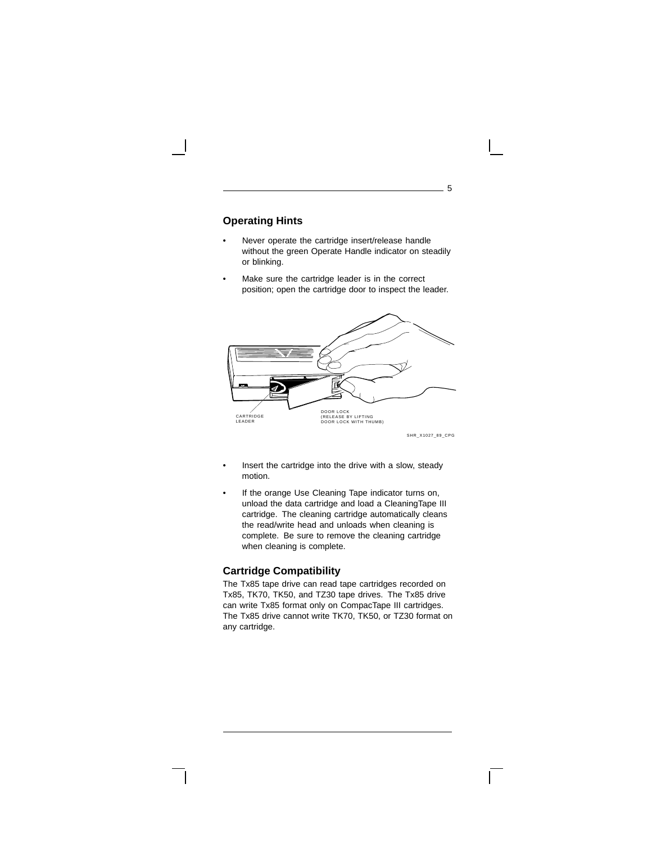## **Operating Hints**

- Never operate the cartridge insert/release handle without the green Operate Handle indicator on steadily or blinking.
- Make sure the cartridge leader is in the correct position; open the cartridge door to inspect the leader.



SHR\_X1027\_89\_CPG

5

- Insert the cartridge into the drive with a slow, steady motion.
- If the orange Use Cleaning Tape indicator turns on, unload the data cartridge and load a CleaningTape III cartridge. The cleaning cartridge automatically cleans the read/write head and unloads when cleaning is complete. Be sure to remove the cleaning cartridge when cleaning is complete.

#### **Cartridge Compatibility**

The Tx85 tape drive can read tape cartridges recorded on Tx85, TK70, TK50, and TZ30 tape drives. The Tx85 drive can write Tx85 format only on CompacTape III cartridges. The Tx85 drive cannot write TK70, TK50, or TZ30 format on any cartridge.